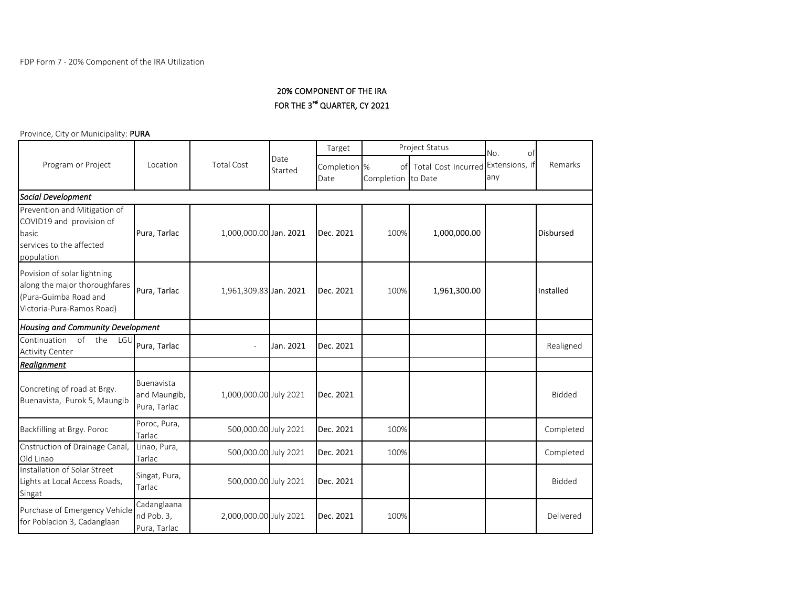## 20% COMPONENT OF THE IRA FOR THE 3<sup>rd</sup> QUARTER, CY 2021

Province, City or Municipality: PURA

|                                                                                                                    | Location                                   | <b>Total Cost</b>      | Date<br>Started | Target                          | Project Status           |                                    | No.<br>of |                  |
|--------------------------------------------------------------------------------------------------------------------|--------------------------------------------|------------------------|-----------------|---------------------------------|--------------------------|------------------------------------|-----------|------------------|
| Program or Project                                                                                                 |                                            |                        |                 | Completion <sup>8</sup><br>Date | of<br>Completion to Date | Total Cost Incurred Extensions, if | any       | Remarks          |
| Social Development                                                                                                 |                                            |                        |                 |                                 |                          |                                    |           |                  |
| Prevention and Mitigation of<br>COVID19 and provision of<br>basic<br>services to the affected<br>population        | Pura, Tarlac                               | 1,000,000.00 Jan. 2021 |                 | Dec. 2021                       | 100%                     | 1,000,000.00                       |           | <b>Disbursed</b> |
| Povision of solar lightning<br>along the major thoroughfares<br>(Pura-Guimba Road and<br>Victoria-Pura-Ramos Road) | Pura, Tarlac                               | 1,961,309.83 Jan. 2021 |                 | Dec. 2021                       | 100%                     | 1,961,300.00                       |           | Installed        |
| Housing and Community Development                                                                                  |                                            |                        |                 |                                 |                          |                                    |           |                  |
| of the<br>Continuation<br>LGU<br><b>Activity Center</b>                                                            | Pura, Tarlac                               |                        | Jan. 2021       | Dec. 2021                       |                          |                                    |           | Realigned        |
| Realignment                                                                                                        |                                            |                        |                 |                                 |                          |                                    |           |                  |
| Concreting of road at Brgy.<br>Buenavista, Purok 5, Maungib                                                        | Buenavista<br>and Maungib,<br>Pura, Tarlac | 1,000,000.00 July 2021 |                 | Dec. 2021                       |                          |                                    |           | <b>Bidded</b>    |
| Backfilling at Brgy. Poroc                                                                                         | Poroc, Pura,<br>Tarlac                     | 500,000.00 July 2021   |                 | Dec. 2021                       | 100%                     |                                    |           | Completed        |
| Cnstruction of Drainage Canal,<br>Old Linao                                                                        | Linao, Pura,<br>Tarlac                     | 500,000.00 July 2021   |                 | Dec. 2021                       | 100%                     |                                    |           | Completed        |
| Installation of Solar Street<br>Lights at Local Access Roads,<br>Singat                                            | Singat, Pura,<br>Tarlac                    | 500,000.00 July 2021   |                 | Dec. 2021                       |                          |                                    |           | <b>Bidded</b>    |
| Purchase of Emergency Vehicle<br>for Poblacion 3, Cadanglaan                                                       | Cadanglaana<br>nd Pob. 3,<br>Pura, Tarlac  | 2,000,000.00 July 2021 |                 | Dec. 2021                       | 100%                     |                                    |           | Delivered        |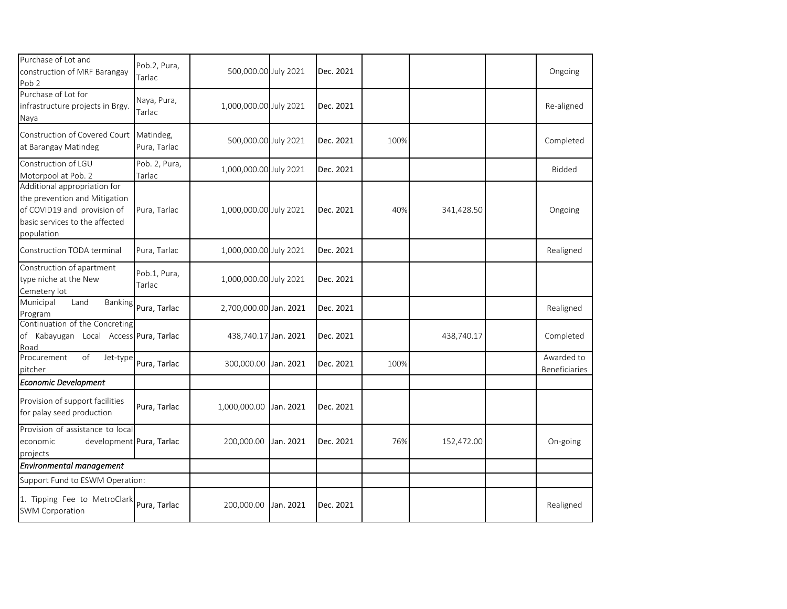| Purchase of Lot and<br>construction of MRF Barangay<br>Pob <sub>2</sub>                                                                      | Pob.2, Pura,<br>Tarlac    | 500,000.00 July 2021   |           | Dec. 2021 |      |            | Ongoing                     |
|----------------------------------------------------------------------------------------------------------------------------------------------|---------------------------|------------------------|-----------|-----------|------|------------|-----------------------------|
| Purchase of Lot for<br>infrastructure projects in Brgy.<br>Naya                                                                              | Naya, Pura,<br>Tarlac     | 1,000,000.00 July 2021 |           | Dec. 2021 |      |            | Re-aligned                  |
| Construction of Covered Court<br>at Barangay Matindeg                                                                                        | Matindeg,<br>Pura, Tarlac | 500,000.00 July 2021   |           | Dec. 2021 | 100% |            | Completed                   |
| Construction of LGU<br>Motorpool at Pob. 2                                                                                                   | Pob. 2, Pura,<br>Tarlac   | 1,000,000.00 July 2021 |           | Dec. 2021 |      |            | Bidded                      |
| Additional appropriation for<br>the prevention and Mitigation<br>of COVID19 and provision of<br>basic services to the affected<br>population | Pura, Tarlac              | 1,000,000.00 July 2021 |           | Dec. 2021 | 40%  | 341,428.50 | Ongoing                     |
| Construction TODA terminal                                                                                                                   | Pura, Tarlac              | 1,000,000.00 July 2021 |           | Dec. 2021 |      |            | Realigned                   |
| Construction of apartment<br>type niche at the New<br>Cemetery lot                                                                           | Pob.1, Pura,<br>Tarlac    | 1,000,000.00 July 2021 |           | Dec. 2021 |      |            |                             |
| Municipal<br>Land<br>Banking<br>Program                                                                                                      | Pura, Tarlac              | 2,700,000.00 Jan. 2021 |           | Dec. 2021 |      |            | Realigned                   |
| Continuation of the Concreting<br>of Kabayugan Local Access Pura, Tarlac<br>Road                                                             |                           | 438,740.17 Jan. 2021   |           | Dec. 2021 |      | 438,740.17 | Completed                   |
| of<br>Procurement<br>Jet-type<br>pitcher                                                                                                     | Pura, Tarlac              | 300,000.00             | Jan. 2021 | Dec. 2021 | 100% |            | Awarded to<br>Beneficiaries |
| Economic Development                                                                                                                         |                           |                        |           |           |      |            |                             |
| Provision of support facilities<br>for palay seed production                                                                                 | Pura, Tarlac              | 1,000,000.00           | Jan. 2021 | Dec. 2021 |      |            |                             |
| Provision of assistance to local<br>development Pura, Tarlac<br>economic<br>projects                                                         |                           | 200,000.00             | Jan. 2021 | Dec. 2021 | 76%  | 152,472.00 | On-going                    |
| Environmental management                                                                                                                     |                           |                        |           |           |      |            |                             |
| Support Fund to ESWM Operation:                                                                                                              |                           |                        |           |           |      |            |                             |
| 1. Tipping Fee to MetroClark<br><b>SWM Corporation</b>                                                                                       | Pura, Tarlac              | 200,000.00             | Jan. 2021 | Dec. 2021 |      |            | Realigned                   |